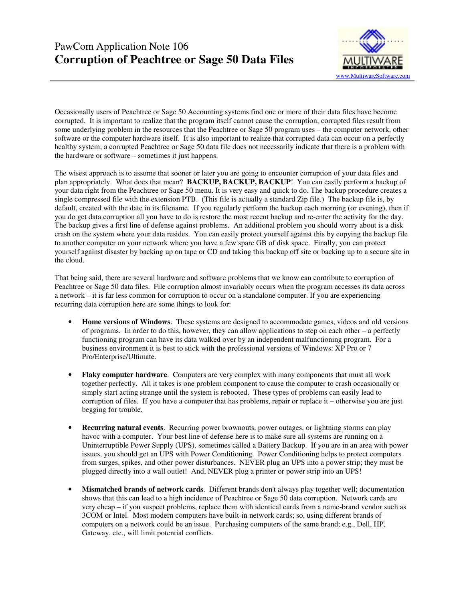

Occasionally users of Peachtree or Sage 50 Accounting systems find one or more of their data files have become corrupted. It is important to realize that the program itself cannot cause the corruption; corrupted files result from some underlying problem in the resources that the Peachtree or Sage 50 program uses – the computer network, other software or the computer hardware itself. It is also important to realize that corrupted data can occur on a perfectly healthy system; a corrupted Peachtree or Sage 50 data file does not necessarily indicate that there is a problem with the hardware or software – sometimes it just happens.

The wisest approach is to assume that sooner or later you are going to encounter corruption of your data files and plan appropriately. What does that mean? **BACKUP, BACKUP, BACKUP**! You can easily perform a backup of your data right from the Peachtree or Sage 50 menu. It is very easy and quick to do. The backup procedure creates a single compressed file with the extension PTB. (This file is actually a standard Zip file.) The backup file is, by default, created with the date in its filename. If you regularly perform the backup each morning (or evening), then if you do get data corruption all you have to do is restore the most recent backup and re-enter the activity for the day. The backup gives a first line of defense against problems. An additional problem you should worry about is a disk crash on the system where your data resides. You can easily protect yourself against this by copying the backup file to another computer on your network where you have a few spare GB of disk space. Finally, you can protect yourself against disaster by backing up on tape or CD and taking this backup off site or backing up to a secure site in the cloud.

That being said, there are several hardware and software problems that we know can contribute to corruption of Peachtree or Sage 50 data files. File corruption almost invariably occurs when the program accesses its data across a network – it is far less common for corruption to occur on a standalone computer. If you are experiencing recurring data corruption here are some things to look for:

- **Home versions of Windows**. These systems are designed to accommodate games, videos and old versions of programs. In order to do this, however, they can allow applications to step on each other – a perfectly functioning program can have its data walked over by an independent malfunctioning program. For a business environment it is best to stick with the professional versions of Windows: XP Pro or 7 Pro/Enterprise/Ultimate.
- **Flaky computer hardware**. Computers are very complex with many components that must all work together perfectly. All it takes is one problem component to cause the computer to crash occasionally or simply start acting strange until the system is rebooted. These types of problems can easily lead to corruption of files. If you have a computer that has problems, repair or replace it – otherwise you are just begging for trouble.
- **Recurring natural events**. Recurring power brownouts, power outages, or lightning storms can play havoc with a computer. Your best line of defense here is to make sure all systems are running on a Uninterruptible Power Supply (UPS), sometimes called a Battery Backup. If you are in an area with power issues, you should get an UPS with Power Conditioning. Power Conditioning helps to protect computers from surges, spikes, and other power disturbances. NEVER plug an UPS into a power strip; they must be plugged directly into a wall outlet! And, NEVER plug a printer or power strip into an UPS!
- **Mismatched brands of network cards**. Different brands don't always play together well; documentation shows that this can lead to a high incidence of Peachtree or Sage 50 data corruption. Network cards are very cheap – if you suspect problems, replace them with identical cards from a name-brand vendor such as 3COM or Intel. Most modern computers have built-in network cards; so, using different brands of computers on a network could be an issue. Purchasing computers of the same brand; e.g., Dell, HP, Gateway, etc., will limit potential conflicts.